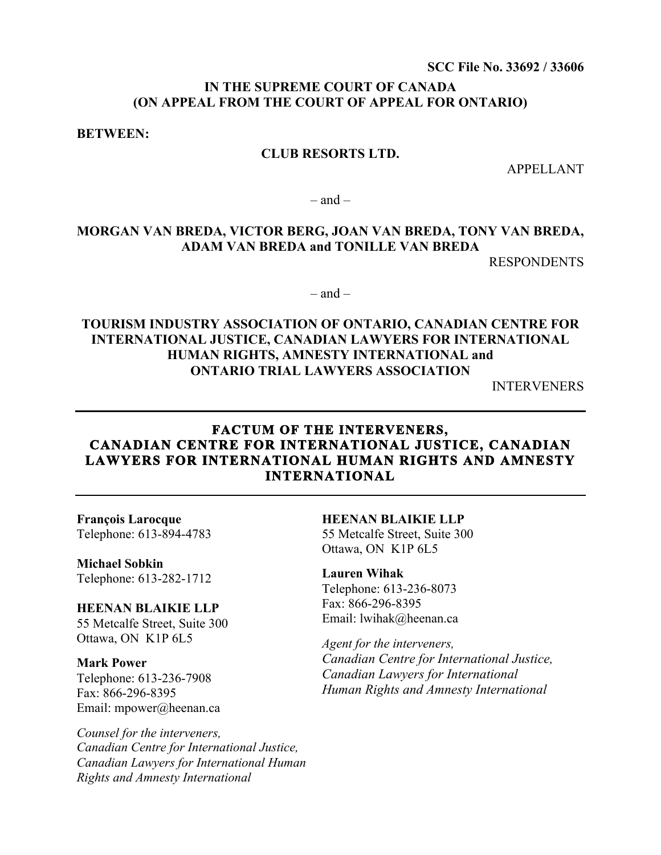#### **SCC File No. 33692 / 33606**

#### **IN THE SUPREME COURT OF CANADA (ON APPEAL FROM THE COURT OF APPEAL FOR ONTARIO)**

**BETWEEN:**

#### **CLUB RESORTS LTD.**

APPELLANT

 $-$  and  $-$ 

# **MORGAN VAN BREDA, VICTOR BERG, JOAN VAN BREDA, TONY VAN BREDA, ADAM VAN BREDA and TONILLE VAN BREDA**

RESPONDENTS

 $-$  and  $-$ 

## **TOURISM INDUSTRY ASSOCIATION OF ONTARIO, CANADIAN CENTRE FOR INTERNATIONAL JUSTICE, CANADIAN LAWYERS FOR INTERNATIONAL HUMAN RIGHTS, AMNESTY INTERNATIONAL and ONTARIO TRIAL LAWYERS ASSOCIATION**

INTERVENERS

# **FACTUM OF THE INTERVENERS, CANADIAN CENTRE FOR INTERNATIONAL JUSTICE, CANADIAN LAWYERS FOR INTERNATIONAL HUMAN RIGHTS AND AMNESTY INTERNATIONAL**

**François Larocque** Telephone: 613-894-4783

**Michael Sobkin** Telephone: 613-282-1712

**HEENAN BLAIKIE LLP** 55 Metcalfe Street, Suite 300 Ottawa, ON K1P 6L5

**Mark Power** Telephone: 613-236-7908 Fax: 866-296-8395 Email: mpower@heenan.ca

*Counsel for the interveners, Canadian Centre for International Justice, Canadian Lawyers for International Human Rights and Amnesty International*

#### **HEENAN BLAIKIE LLP**

55 Metcalfe Street, Suite 300 Ottawa, ON K1P 6L5

**Lauren Wihak** Telephone: 613-236-8073 Fax: 866-296-8395 Email: lwihak@heenan.ca

*Agent for the interveners, Canadian Centre for International Justice, Canadian Lawyers for International Human Rights and Amnesty International*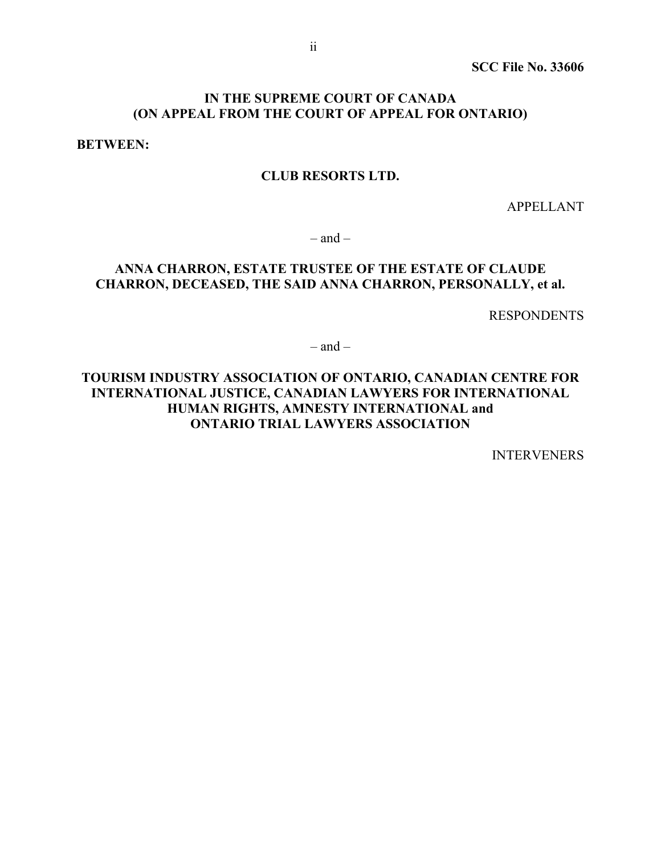#### **IN THE SUPREME COURT OF CANADA (ON APPEAL FROM THE COURT OF APPEAL FOR ONTARIO)**

**BETWEEN:**

#### **CLUB RESORTS LTD.**

APPELLANT

 $-$  and  $-$ 

#### **ANNA CHARRON, ESTATE TRUSTEE OF THE ESTATE OF CLAUDE CHARRON, DECEASED, THE SAID ANNA CHARRON, PERSONALLY, et al.**

RESPONDENTS

 $-$  and  $-$ 

### **TOURISM INDUSTRY ASSOCIATION OF ONTARIO, CANADIAN CENTRE FOR INTERNATIONAL JUSTICE, CANADIAN LAWYERS FOR INTERNATIONAL HUMAN RIGHTS, AMNESTY INTERNATIONAL and ONTARIO TRIAL LAWYERS ASSOCIATION**

INTERVENERS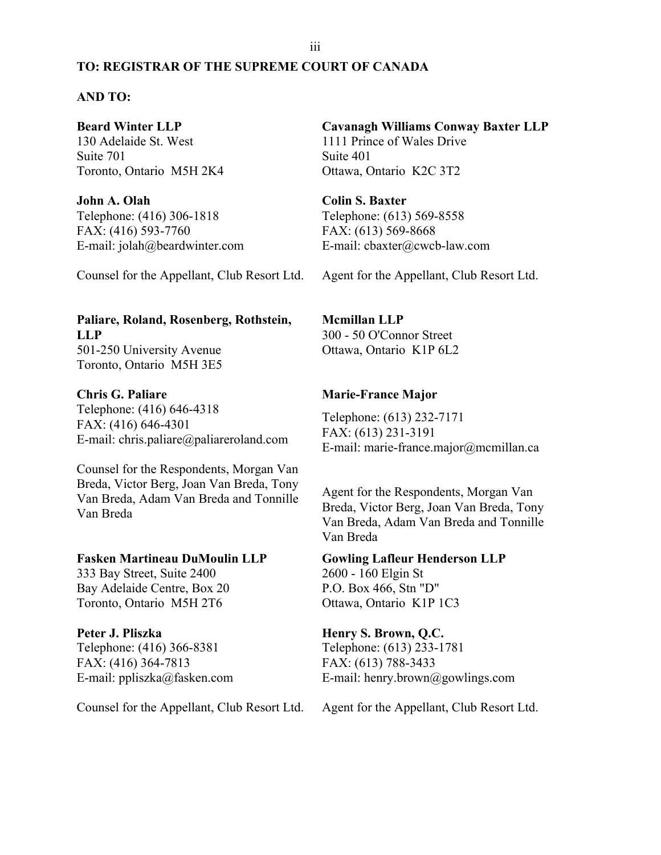#### **TO: REGISTRAR OF THE SUPREME COURT OF CANADA**

#### **AND TO:**

**Beard Winter LLP** 130 Adelaide St. West Suite 701 Toronto, Ontario M5H 2K4

**John A. Olah** Telephone: (416) 306-1818 FAX: (416) 593-7760 E-mail: jolah@beardwinter.com

Counsel for the Appellant, Club Resort Ltd.

# **Paliare, Roland, Rosenberg, Rothstein, LLP** 501-250 University Avenue

Toronto, Ontario M5H 3E5

#### **Chris G. Paliare**

Telephone: (416) 646-4318 FAX: (416) 646-4301 E-mail: chris.paliare@paliareroland.com

Counsel for the Respondents, Morgan Van Breda, Victor Berg, Joan Van Breda, Tony Van Breda, Adam Van Breda and Tonnille Van Breda

#### **Fasken Martineau DuMoulin LLP**

333 Bay Street, Suite 2400 Bay Adelaide Centre, Box 20 Toronto, Ontario M5H 2T6

#### **Peter J. Pliszka**

Telephone: (416) 366-8381 FAX: (416) 364-7813 E-mail: ppliszka@fasken.com

Counsel for the Appellant, Club Resort Ltd.

**Cavanagh Williams Conway Baxter LLP** 1111 Prince of Wales Drive Suite 401 Ottawa, Ontario K2C 3T2

**Colin S. Baxter** Telephone: (613) 569-8558 FAX: (613) 569-8668 E-mail: cbaxter@cwcb-law.com

Agent for the Appellant, Club Resort Ltd.

#### **Mcmillan LLP**

300 - 50 O'Connor Street Ottawa, Ontario K1P 6L2

#### **Marie-France Major**

Telephone: (613) 232-7171 FAX: (613) 231-3191 E-mail: marie-france.major@mcmillan.ca

Agent for the Respondents, Morgan Van Breda, Victor Berg, Joan Van Breda, Tony Van Breda, Adam Van Breda and Tonnille Van Breda

#### **Gowling Lafleur Henderson LLP**

2600 - 160 Elgin St P.O. Box 466, Stn "D" Ottawa, Ontario K1P 1C3

#### **Henry S. Brown, Q.C.**

Telephone: (613) 233-1781 FAX: (613) 788-3433 E-mail: henry.brown@gowlings.com

Agent for the Appellant, Club Resort Ltd.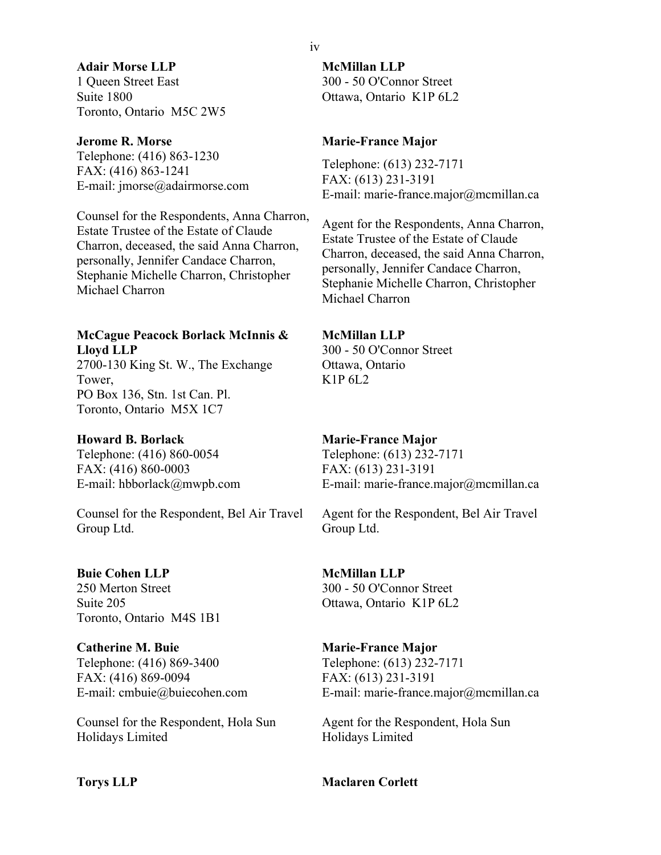#### **Adair Morse LLP**

1 Queen Street East Suite 1800 Toronto, Ontario M5C 2W5

#### **Jerome R. Morse**

Telephone: (416) 863-1230 FAX: (416) 863-1241 E-mail: jmorse@adairmorse.com

Counsel for the Respondents, Anna Charron, Estate Trustee of the Estate of Claude Charron, deceased, the said Anna Charron, personally, Jennifer Candace Charron, Stephanie Michelle Charron, Christopher Michael Charron

#### **McCague Peacock Borlack McInnis & Lloyd LLP**

2700-130 King St. W., The Exchange Tower, PO Box 136, Stn. 1st Can. Pl. Toronto, Ontario M5X 1C7

#### **Howard B. Borlack**

Telephone: (416) 860-0054 FAX: (416) 860-0003 E-mail: hbborlack@mwpb.com

Counsel for the Respondent, Bel Air Travel Group Ltd.

#### **Buie Cohen LLP**

250 Merton Street Suite 205 Toronto, Ontario M4S 1B1

**Catherine M. Buie** Telephone: (416) 869-3400 FAX: (416) 869-0094 E-mail: cmbuie@buiecohen.com

Counsel for the Respondent, Hola Sun Holidays Limited

# **McMillan LLP**

iv

300 - 50 O'Connor Street Ottawa, Ontario K1P 6L2

#### **Marie-France Major**

Telephone: (613) 232-7171 FAX: (613) 231-3191 E-mail: marie-france.major@mcmillan.ca

Agent for the Respondents, Anna Charron, Estate Trustee of the Estate of Claude Charron, deceased, the said Anna Charron, personally, Jennifer Candace Charron, Stephanie Michelle Charron, Christopher Michael Charron

#### **McMillan LLP**

300 - 50 O'Connor Street Ottawa, Ontario K1P 6L2

#### **Marie-France Major**

Telephone: (613) 232-7171 FAX: (613) 231-3191 E-mail: marie-france.major@mcmillan.ca

Agent for the Respondent, Bel Air Travel Group Ltd.

**McMillan LLP** 300 - 50 O'Connor Street Ottawa, Ontario K1P 6L2

#### **Marie-France Major** Telephone: (613) 232-7171 FAX: (613) 231-3191 E-mail: marie-france.major@mcmillan.ca

Agent for the Respondent, Hola Sun Holidays Limited

### **Torys LLP Maclaren Corlett**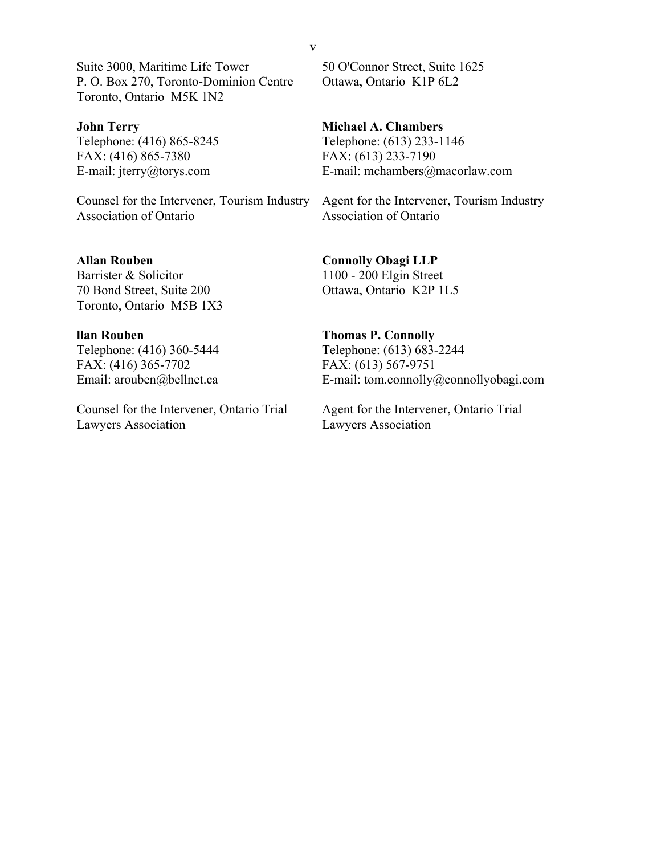Suite 3000, Maritime Life Tower P. O. Box 270, Toronto-Dominion Centre Toronto, Ontario M5K 1N2

**John Terry** Telephone: (416) 865-8245 FAX: (416) 865-7380 E-mail: jterry@torys.com

Counsel for the Intervener, Tourism Industry Association of Ontario

**Allan Rouben** Barrister & Solicitor 70 Bond Street, Suite 200 Toronto, Ontario M5B 1X3

**llan Rouben** Telephone: (416) 360-5444 FAX: (416) 365-7702 Email: arouben@bellnet.ca

Counsel for the Intervener, Ontario Trial Lawyers Association

50 O'Connor Street, Suite 1625 Ottawa, Ontario K1P 6L2

**Michael A. Chambers** Telephone: (613) 233-1146 FAX: (613) 233-7190 E-mail: mchambers@macorlaw.com

Agent for the Intervener, Tourism Industry Association of Ontario

**Connolly Obagi LLP** 1100 - 200 Elgin Street Ottawa, Ontario K2P 1L5

**Thomas P. Connolly** Telephone: (613) 683-2244 FAX: (613) 567-9751 E-mail: tom.connolly@connollyobagi.com

Agent for the Intervener, Ontario Trial Lawyers Association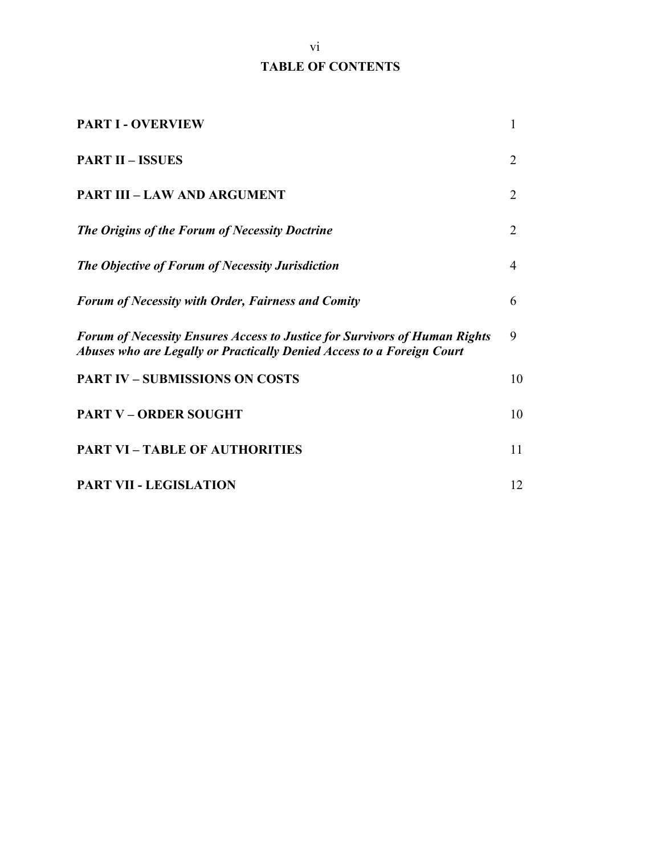# **TABLE OF CONTENTS**

| <b>PART I - OVERVIEW</b>                                                                                                                                    | 1              |
|-------------------------------------------------------------------------------------------------------------------------------------------------------------|----------------|
| <b>PART II - ISSUES</b>                                                                                                                                     | $\overline{2}$ |
| <b>PART III - LAW AND ARGUMENT</b>                                                                                                                          | $\overline{2}$ |
| The Origins of the Forum of Necessity Doctrine                                                                                                              | $\overline{2}$ |
| The Objective of Forum of Necessity Jurisdiction                                                                                                            | 4              |
| <b>Forum of Necessity with Order, Fairness and Comity</b>                                                                                                   | 6              |
| <b>Forum of Necessity Ensures Access to Justice for Survivors of Human Rights</b><br>Abuses who are Legally or Practically Denied Access to a Foreign Court | 9              |
| <b>PART IV - SUBMISSIONS ON COSTS</b>                                                                                                                       | 10             |
| <b>PART V - ORDER SOUGHT</b>                                                                                                                                | 10             |
| <b>PART VI - TABLE OF AUTHORITIES</b>                                                                                                                       | 11             |
| <b>PART VII - LEGISLATION</b>                                                                                                                               | 12             |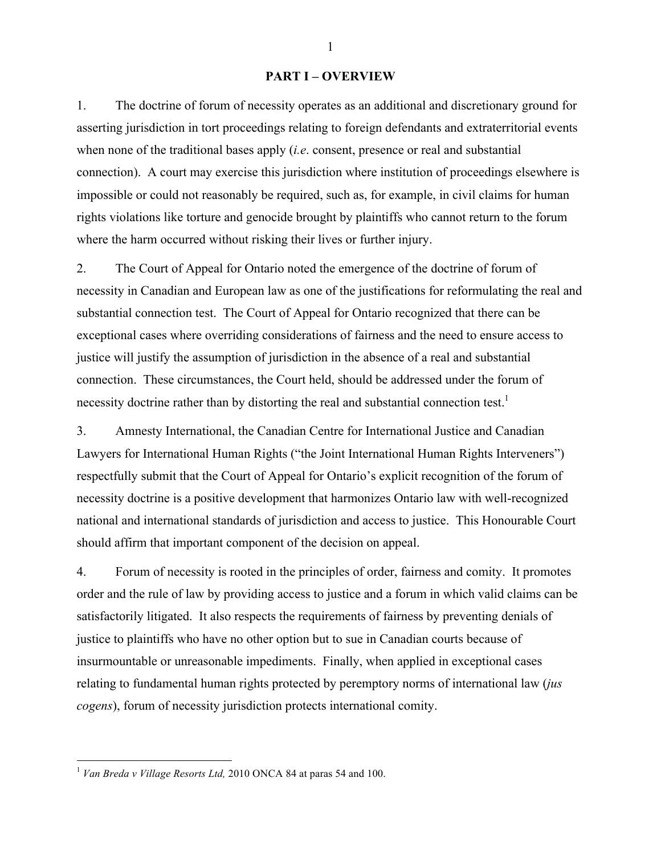#### **PART I – OVERVIEW**

1. The doctrine of forum of necessity operates as an additional and discretionary ground for asserting jurisdiction in tort proceedings relating to foreign defendants and extraterritorial events when none of the traditional bases apply (*i.e*. consent, presence or real and substantial connection). A court may exercise this jurisdiction where institution of proceedings elsewhere is impossible or could not reasonably be required, such as, for example, in civil claims for human rights violations like torture and genocide brought by plaintiffs who cannot return to the forum where the harm occurred without risking their lives or further injury.

2. The Court of Appeal for Ontario noted the emergence of the doctrine of forum of necessity in Canadian and European law as one of the justifications for reformulating the real and substantial connection test. The Court of Appeal for Ontario recognized that there can be exceptional cases where overriding considerations of fairness and the need to ensure access to justice will justify the assumption of jurisdiction in the absence of a real and substantial connection. These circumstances, the Court held, should be addressed under the forum of necessity doctrine rather than by distorting the real and substantial connection test.<sup>1</sup>

3. Amnesty International, the Canadian Centre for International Justice and Canadian Lawyers for International Human Rights ("the Joint International Human Rights Interveners") respectfully submit that the Court of Appeal for Ontario's explicit recognition of the forum of necessity doctrine is a positive development that harmonizes Ontario law with well-recognized national and international standards of jurisdiction and access to justice. This Honourable Court should affirm that important component of the decision on appeal.

4. Forum of necessity is rooted in the principles of order, fairness and comity. It promotes order and the rule of law by providing access to justice and a forum in which valid claims can be satisfactorily litigated. It also respects the requirements of fairness by preventing denials of justice to plaintiffs who have no other option but to sue in Canadian courts because of insurmountable or unreasonable impediments. Finally, when applied in exceptional cases relating to fundamental human rights protected by peremptory norms of international law (*jus cogens*), forum of necessity jurisdiction protects international comity.

1

 <sup>1</sup> *Van Breda <sup>v</sup> Village Resorts Ltd,* 2010 ONCA 84 at paras 54 and 100.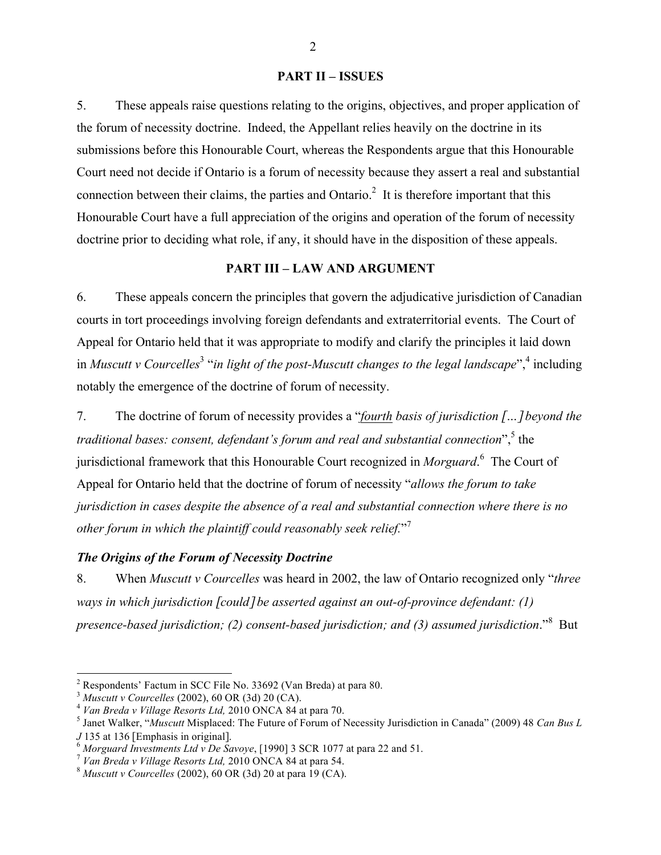#### **PART II – ISSUES**

5. These appeals raise questions relating to the origins, objectives, and proper application of the forum of necessity doctrine. Indeed, the Appellant relies heavily on the doctrine in its submissions before this Honourable Court, whereas the Respondents argue that this Honourable Court need not decide if Ontario is a forum of necessity because they assert a real and substantial connection between their claims, the parties and Ontario.<sup>2</sup> It is therefore important that this Honourable Court have a full appreciation of the origins and operation of the forum of necessity doctrine prior to deciding what role, if any, it should have in the disposition of these appeals.

#### **PART III – LAW AND ARGUMENT**

6. These appeals concern the principles that govern the adjudicative jurisdiction of Canadian courts in tort proceedings involving foreign defendants and extraterritorial events. The Court of Appeal for Ontario held that it was appropriate to modify and clarify the principles it laid down in *Muscutt v Courcelles*<sup>3</sup> "in light of the post-Muscutt changes to the legal landscape",<sup>4</sup> including notably the emergence of the doctrine of forum of necessity.

7. The doctrine of forum of necessity provides a "*fourth basis of jurisdiction* [*…*] *beyond the traditional bases: consent, defendant's forum and real and substantial connection*",<sup>5</sup> the jurisdictional framework that this Honourable Court recognized in *Morguard*. 6 The Court of Appeal for Ontario held that the doctrine of forum of necessity "*allows the forum to take jurisdiction in cases despite the absence of a real and substantial connection where there is no other forum in which the plaintiff could reasonably seek relief.*" 7

#### *The Origins of the Forum of Necessity Doctrine*

8. When *Muscutt v Courcelles* was heard in 2002, the law of Ontario recognized only "*three ways in which jurisdiction* [*could*] *be asserted against an out-of-province defendant: (1)*  presence-based jurisdiction; (2) consent-based jurisdiction; and (3) assumed jurisdiction."<sup>8</sup> But

<sup>&</sup>lt;sup>2</sup> Respondents' Factum in SCC File No. 33692 (Van Breda) at para 80.<br><sup>3</sup> Muscutt v Courcelles (2002), 60 OR (3d) 20 (CA).

<sup>&</sup>lt;sup>4</sup> Van Breda v Village Resorts Ltd, 2010 ONCA 84 at para 70.<br><sup>5</sup> Janet Walker, "*Muscutt* Misplaced: The Future of Forum of Necessity Jurisdiction in Canada" (2009) 48 *Can Bus L J* 135 at 136 [Emphasis in original].<br>
<sup>6</sup> Morguard Investments Ltd v De Savoye, [1990] 3 SCR 1077 at para 22 and 51.<br>
<sup>7</sup> Van Breda v Village Resorts Ltd, 2010 ONCA 84 at para 54.<br>
<sup>8</sup> Muscutt v Courcelles (2002), 60 OR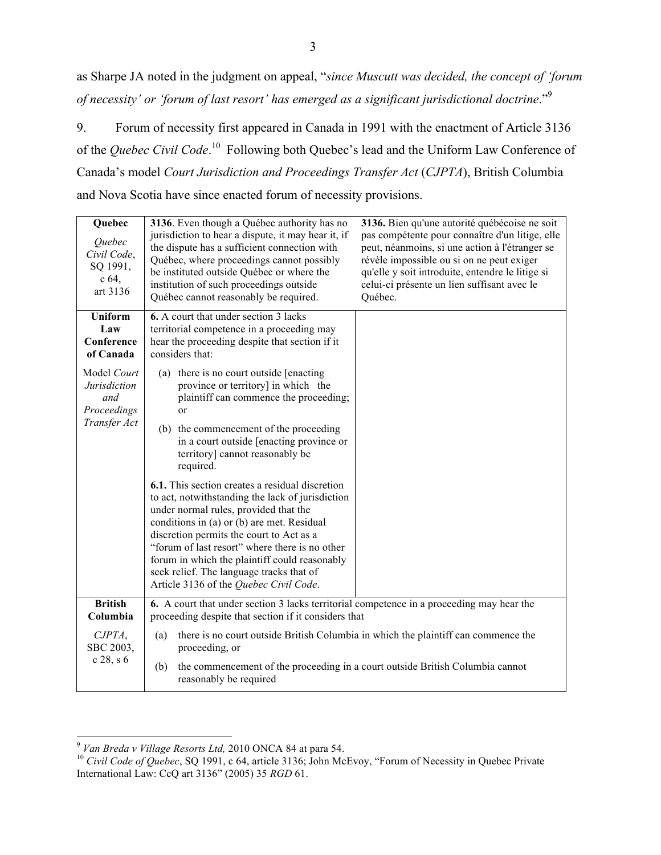as Sharpe JA noted in the judgment on appeal, "*since Muscutt was decided, the concept of 'forum of necessity' or 'forum of last resort' has emerged as a significant jurisdictional doctrine*."9

9. Forum of necessity first appeared in Canada in 1991 with the enactment of Article 3136 of the *Quebec Civil Code*.<sup>10</sup> Following both Quebec's lead and the Uniform Law Conference of Canada's model *Court Jurisdiction and Proceedings Transfer Act* (*CJPTA*), British Columbia and Nova Scotia have since enacted forum of necessity provisions.

| Quebec<br>Quebec<br>Civil Code,<br>SQ 1991,<br>c64,<br>art 3136          | 3136. Even though a Québec authority has no<br>jurisdiction to hear a dispute, it may hear it, if<br>the dispute has a sufficient connection with<br>Québec, where proceedings cannot possibly<br>be instituted outside Québec or where the<br>institution of such proceedings outside<br>Québec cannot reasonably be required.                                                                                                                                                                                                                                                                                                                                                                                         | 3136. Bien qu'une autorité québécoise ne soit<br>pas compétente pour connaître d'un litige, elle<br>peut, néanmoins, si une action à l'étranger se<br>révèle impossible ou si on ne peut exiger<br>qu'elle y soit introduite, entendre le litige si<br>celui-ci présente un lien suffisant avec le<br>Québec. |  |
|--------------------------------------------------------------------------|-------------------------------------------------------------------------------------------------------------------------------------------------------------------------------------------------------------------------------------------------------------------------------------------------------------------------------------------------------------------------------------------------------------------------------------------------------------------------------------------------------------------------------------------------------------------------------------------------------------------------------------------------------------------------------------------------------------------------|---------------------------------------------------------------------------------------------------------------------------------------------------------------------------------------------------------------------------------------------------------------------------------------------------------------|--|
| <b>Uniform</b><br>Law<br>Conference<br>of Canada                         | 6. A court that under section 3 lacks<br>territorial competence in a proceeding may<br>hear the proceeding despite that section if it<br>considers that:                                                                                                                                                                                                                                                                                                                                                                                                                                                                                                                                                                |                                                                                                                                                                                                                                                                                                               |  |
| Model Court<br><b>Jurisdiction</b><br>and<br>Proceedings<br>Transfer Act | (a) there is no court outside [enacting]<br>province or territory] in which the<br>plaintiff can commence the proceeding;<br>$\alpha$ r<br>(b) the commencement of the proceeding<br>in a court outside [enacting province or<br>territory] cannot reasonably be<br>required.<br><b>6.1.</b> This section creates a residual discretion<br>to act, notwithstanding the lack of jurisdiction<br>under normal rules, provided that the<br>conditions in (a) or (b) are met. Residual<br>discretion permits the court to Act as a<br>"forum of last resort" where there is no other<br>forum in which the plaintiff could reasonably<br>seek relief. The language tracks that of<br>Article 3136 of the Quebec Civil Code. |                                                                                                                                                                                                                                                                                                               |  |
| <b>British</b><br>Columbia                                               | 6. A court that under section 3 lacks territorial competence in a proceeding may hear the<br>proceeding despite that section if it considers that                                                                                                                                                                                                                                                                                                                                                                                                                                                                                                                                                                       |                                                                                                                                                                                                                                                                                                               |  |
| CJPTA,<br>SBC 2003,<br>c 28, s 6                                         | there is no court outside British Columbia in which the plaintiff can commence the<br>(a)<br>proceeding, or<br>the commencement of the proceeding in a court outside British Columbia cannot<br>(b)<br>reasonably be required                                                                                                                                                                                                                                                                                                                                                                                                                                                                                           |                                                                                                                                                                                                                                                                                                               |  |

<sup>&</sup>lt;sup>9</sup> *Van Breda v Village Resorts Ltd,* 2010 ONCA 84 at para 54.<br><sup>10</sup> *Civil Code of Quebec*, SQ 1991, c 64, article 3136; John McEvoy, "Forum of Necessity in Quebec Private International Law: CcQ art 3136" (2005) 35 *RGD* 61.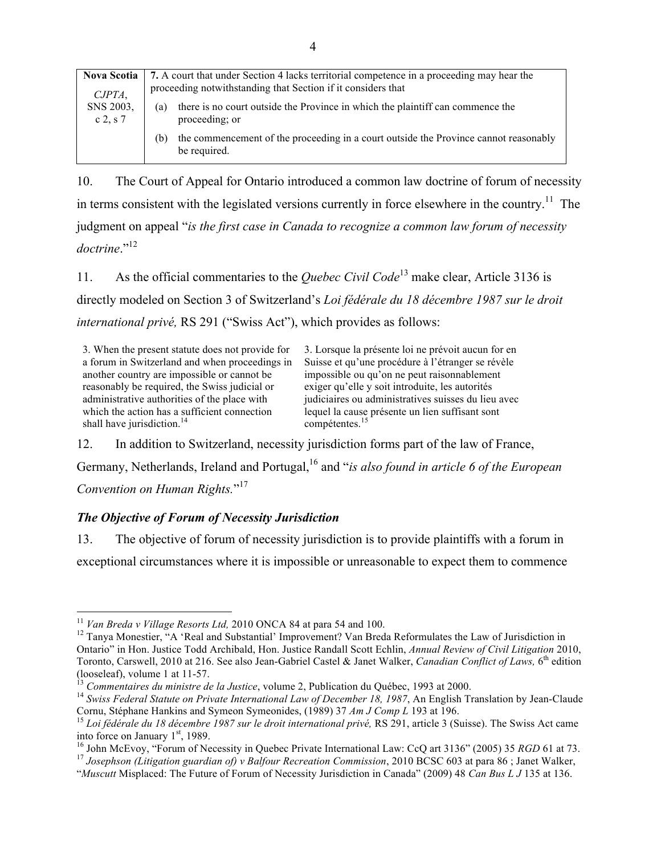| <b>Nova Scotia</b><br>CJPTA, | 7. A court that under Section 4 lacks territorial competence in a proceeding may hear the<br>proceeding notwithstanding that Section if it considers that |  |
|------------------------------|-----------------------------------------------------------------------------------------------------------------------------------------------------------|--|
| SNS 2003,<br>$c$ 2, s 7      | there is no court outside the Province in which the plaintiff can commence the<br>(a)<br>proceeding; or                                                   |  |
|                              | the commencement of the proceeding in a court outside the Province cannot reasonably<br>(b)<br>be required.                                               |  |

10. The Court of Appeal for Ontario introduced a common law doctrine of forum of necessity in terms consistent with the legislated versions currently in force elsewhere in the country.<sup>11</sup> The judgment on appeal "*is the first case in Canada to recognize a common law forum of necessity doctrine*."12

11. As the official commentaries to the *Quebec Civil Code*<sup>13</sup> make clear, Article 3136 is directly modeled on Section 3 of Switzerland's *Loi fédérale du 18 décembre 1987 sur le droit international privé,* RS 291 ("Swiss Act"), which provides as follows:

3. When the present statute does not provide for a forum in Switzerland and when proceedings in another country are impossible or cannot be reasonably be required, the Swiss judicial or administrative authorities of the place with which the action has a sufficient connection shall have jurisdiction.<sup>14</sup>

3. Lorsque la présente loi ne prévoit aucun for en Suisse et qu'une procédure à l'étranger se révèle impossible ou qu'on ne peut raisonnablement exiger qu'elle y soit introduite, les autorités judiciaires ou administratives suisses du lieu avec lequel la cause présente un lien suffisant sont compétentes.<sup>15</sup>

12. In addition to Switzerland, necessity jurisdiction forms part of the law of France,

Germany, Netherlands, Ireland and Portugal,<sup>16</sup> and "*is also found in article 6 of the European Convention on Human Rights.*" 17

#### *The Objective of Forum of Necessity Jurisdiction*

13. The objective of forum of necessity jurisdiction is to provide plaintiffs with a forum in exceptional circumstances where it is impossible or unreasonable to expect them to commence

<sup>&</sup>lt;sup>11</sup> *Van Breda v Village Resorts Ltd*, 2010 ONCA 84 at para 54 and 100.<br><sup>12</sup> Tanya Monestier, "A 'Real and Substantial' Improvement? Van Breda Reformulates the Law of Jurisdiction in Ontario" in Hon. Justice Todd Archibald, Hon. Justice Randall Scott Echlin, *Annual Review of Civil Litigation* 2010, Toronto, Carswell, 2010 at 216. See also Jean-Gabriel Castel & Janet Walker, *Canadian Conflict of Laws,* 6th edition

<sup>(</sup>looseleaf), volume 1 at 11-57.<br><sup>13</sup> Commentaires du ministre de la Justice, volume 2, Publication du Québec, 1993 at 2000.<br><sup>14</sup> Swiss Federal Statute on Private International Law of December 18, 1987, An English Translati

Cornu, Stéphane Hankins and Symeon Symeonides, (1989) 37 *Am J Comp L* 193 at 196.<br><sup>15</sup> *Loi fédérale du 18 décembre 1987 sur le droit international privé*, RS 291, article 3 (Suisse). The Swiss Act came into force on Janu

<sup>&</sup>lt;sup>16</sup> John McEvoy, "Forum of Necessity in Quebec Private International Law: CcQ art 3136" (2005) 35 RGD 61 at 73.<br><sup>17</sup> Josephson (Litigation guardian of) v Balfour Recreation Commission, 2010 BCSC 603 at para 86; Janet Wal

<sup>&</sup>quot;*Muscutt* Misplaced: The Future of Forum of Necessity Jurisdiction in Canada" (2009) 48 *Can Bus L J* 135 at 136.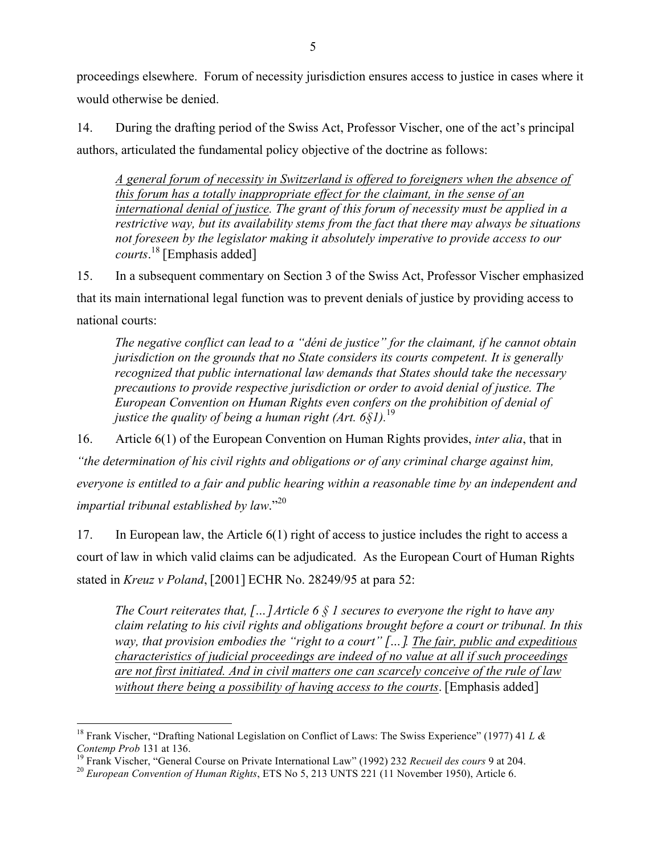proceedings elsewhere. Forum of necessity jurisdiction ensures access to justice in cases where it would otherwise be denied.

14. During the drafting period of the Swiss Act, Professor Vischer, one of the act's principal authors, articulated the fundamental policy objective of the doctrine as follows:

*A general forum of necessity in Switzerland is offered to foreigners when the absence of this forum has a totally inappropriate effect for the claimant, in the sense of an international denial of justice. The grant of this forum of necessity must be applied in a restrictive way, but its availability stems from the fact that there may always be situations not foreseen by the legislator making it absolutely imperative to provide access to our courts*. <sup>18</sup> [Emphasis added]

15. In a subsequent commentary on Section 3 of the Swiss Act, Professor Vischer emphasized that its main international legal function was to prevent denials of justice by providing access to national courts:

*The negative conflict can lead to a "déni de justice" for the claimant, if he cannot obtain jurisdiction on the grounds that no State considers its courts competent. It is generally recognized that public international law demands that States should take the necessary precautions to provide respective jurisdiction or order to avoid denial of justice. The European Convention on Human Rights even confers on the prohibition of denial of justice the quality of being a human right (Art. 6§1).*<sup>19</sup>

16. Article 6(1) of the European Convention on Human Rights provides, *inter alia*, that in *"the determination of his civil rights and obligations or of any criminal charge against him, everyone is entitled to a fair and public hearing within a reasonable time by an independent and impartial tribunal established by law*."20

17. In European law, the Article 6(1) right of access to justice includes the right to access a court of law in which valid claims can be adjudicated. As the European Court of Human Rights stated in *Kreuz v Poland*, [2001] ECHR No. 28249/95 at para 52:

*The Court reiterates that,* [*…*] *Article 6 § 1 secures to everyone the right to have any claim relating to his civil rights and obligations brought before a court or tribunal. In this way, that provision embodies the "right to a court"* [*…*]*. The fair, public and expeditious characteristics of judicial proceedings are indeed of no value at all if such proceedings are not first initiated. And in civil matters one can scarcely conceive of the rule of law without there being a possibility of having access to the courts*. [Emphasis added]

<sup>&</sup>lt;sup>18</sup> Frank Vischer, "Drafting National Legislation on Conflict of Laws: The Swiss Experience" (1977) 41 *L* & Contemp Prob 131 at 136.

<sup>&</sup>lt;sup>19</sup> Frank Vischer, "General Course on Private International Law" (1992) 232 Recueil des cours 9 at 204.<br><sup>20</sup> European Convention of Human Rights, ETS No 5, 213 UNTS 221 (11 November 1950), Article 6.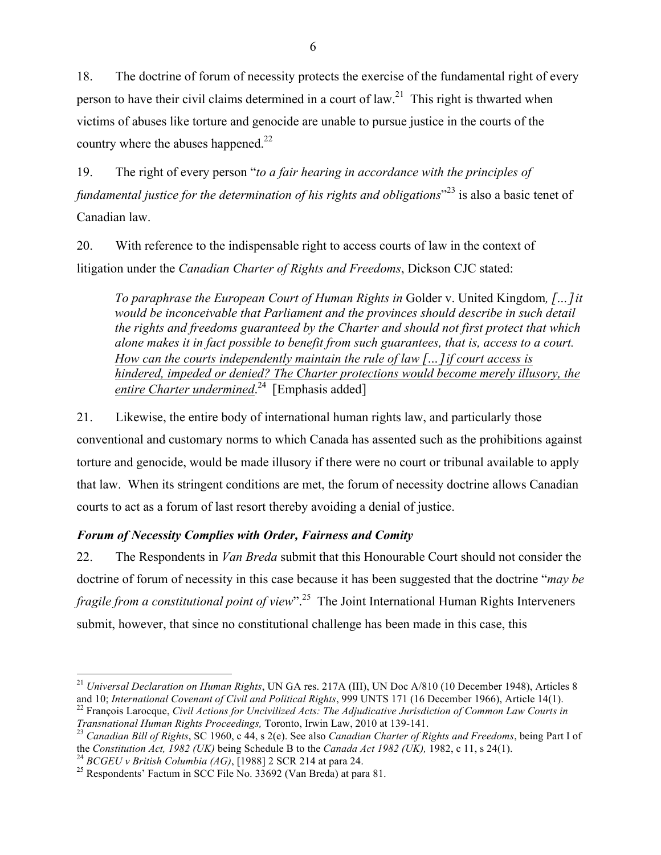18. The doctrine of forum of necessity protects the exercise of the fundamental right of every person to have their civil claims determined in a court of law.<sup>21</sup> This right is thwarted when victims of abuses like torture and genocide are unable to pursue justice in the courts of the country where the abuses happened.<sup>22</sup>

19. The right of every person "*to a fair hearing in accordance with the principles of fundamental justice for the determination of his rights and obligations*" <sup>23</sup> is also a basic tenet of Canadian law.

20. With reference to the indispensable right to access courts of law in the context of litigation under the *Canadian Charter of Rights and Freedoms*, Dickson CJC stated:

*To paraphrase the European Court of Human Rights in* Golder v. United Kingdom*,* [*…*] *it would be inconceivable that Parliament and the provinces should describe in such detail the rights and freedoms guaranteed by the Charter and should not first protect that which alone makes it in fact possible to benefit from such guarantees, that is, access to a court. How can the courts independently maintain the rule of law [...] if court access is hindered, impeded or denied? The Charter protections would become merely illusory, the entire Charter undermined*. 24 [Emphasis added]

21. Likewise, the entire body of international human rights law, and particularly those conventional and customary norms to which Canada has assented such as the prohibitions against torture and genocide, would be made illusory if there were no court or tribunal available to apply that law. When its stringent conditions are met, the forum of necessity doctrine allows Canadian courts to act as a forum of last resort thereby avoiding a denial of justice.

#### *Forum of Necessity Complies with Order, Fairness and Comity*

22. The Respondents in *Van Breda* submit that this Honourable Court should not consider the doctrine of forum of necessity in this case because it has been suggested that the doctrine "*may be fragile from a constitutional point of view*".<sup>25</sup> The Joint International Human Rights Interveners submit, however, that since no constitutional challenge has been made in this case, this

<sup>&</sup>lt;sup>21</sup> *Universal Declaration on Human Rights*, UN GA res. 217A (III), UN Doc A/810 (10 December 1948), Articles 8 and 10; *International Covenant of Civil and Political Rights*, 999 UNTS 171 (16 December 1966), Article 14(1  $^{22}$  François Larocque, Civil Actions for Uncivilized Acts: The Adjudicative Jurisdiction of Common Law Courts in

*Transnational Human Rights Proceedings,* Toronto, Irwin Law, 2010 at 139-141. <sup>23</sup> *Canadian Bill of Rights*, SC 1960, c 44, s 2(e). See also *Canadian Charter of Rights and Freedoms*, being Part I of the Constitution Act, 1982 (UK) being Schedule B to the Canada Act 1982 (UK), 1982, c 11, s 24(1).<br><sup>24</sup> BCGEU v British Columbia (AG), [1988] 2 SCR 214 at para 24.<br><sup>25</sup> Respondents' Factum in SCC File No. 33692 (Van Breda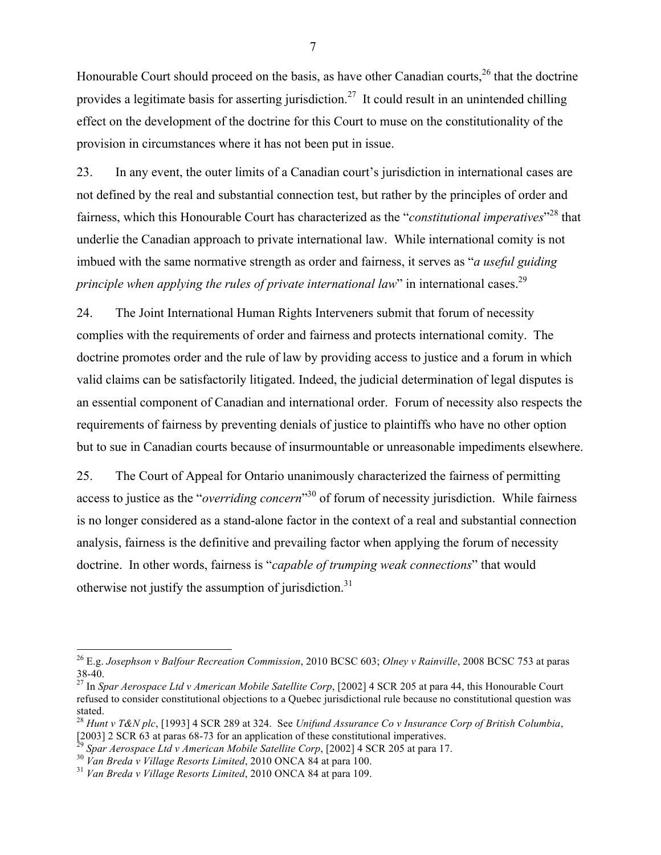Honourable Court should proceed on the basis, as have other Canadian courts,  $26$  that the doctrine provides a legitimate basis for asserting jurisdiction.<sup>27</sup> It could result in an unintended chilling effect on the development of the doctrine for this Court to muse on the constitutionality of the provision in circumstances where it has not been put in issue.

23. In any event, the outer limits of a Canadian court's jurisdiction in international cases are not defined by the real and substantial connection test, but rather by the principles of order and fairness, which this Honourable Court has characterized as the "*constitutional imperatives*" <sup>28</sup> that underlie the Canadian approach to private international law. While international comity is not imbued with the same normative strength as order and fairness, it serves as "*a useful guiding principle when applying the rules of private international law*" in international cases.<sup>29</sup>

24. The Joint International Human Rights Interveners submit that forum of necessity complies with the requirements of order and fairness and protects international comity. The doctrine promotes order and the rule of law by providing access to justice and a forum in which valid claims can be satisfactorily litigated. Indeed, the judicial determination of legal disputes is an essential component of Canadian and international order. Forum of necessity also respects the requirements of fairness by preventing denials of justice to plaintiffs who have no other option but to sue in Canadian courts because of insurmountable or unreasonable impediments elsewhere.

25. The Court of Appeal for Ontario unanimously characterized the fairness of permitting access to justice as the "*overriding concern*" <sup>30</sup> of forum of necessity jurisdiction. While fairness is no longer considered as a stand-alone factor in the context of a real and substantial connection analysis, fairness is the definitive and prevailing factor when applying the forum of necessity doctrine. In other words, fairness is "*capable of trumping weak connections*" that would otherwise not justify the assumption of jurisdiction.<sup>31</sup>

7

 <sup>26</sup> E.g. *Josephson v Balfour Recreation Commission*, 2010 BCSC 603; *Olney v Rainville*, 2008 BCSC 753 at paras 38-40. 27 In *Spar Aerospace Ltd v American Mobile Satellite Corp*, [2002] 4 SCR 205 at para 44, this Honourable Court

refused to consider constitutional objections to a Quebec jurisdictional rule because no constitutional question was stated.

<sup>28</sup> *Hunt v T&N plc*, [1993] 4 SCR 289 at 324. See *Unifund Assurance Co v Insurance Corp of British Columbia*, [2003] 2 SCR 63 at paras 68-73 for an application of these constitutional imperatives.<br><sup>29</sup> Spar Aerospace Ltd v American Mobile Satellite Corp, [2002] 4 SCR 205 at para 17.<br><sup>30</sup> Van Breda v Village Resorts Limited, 2010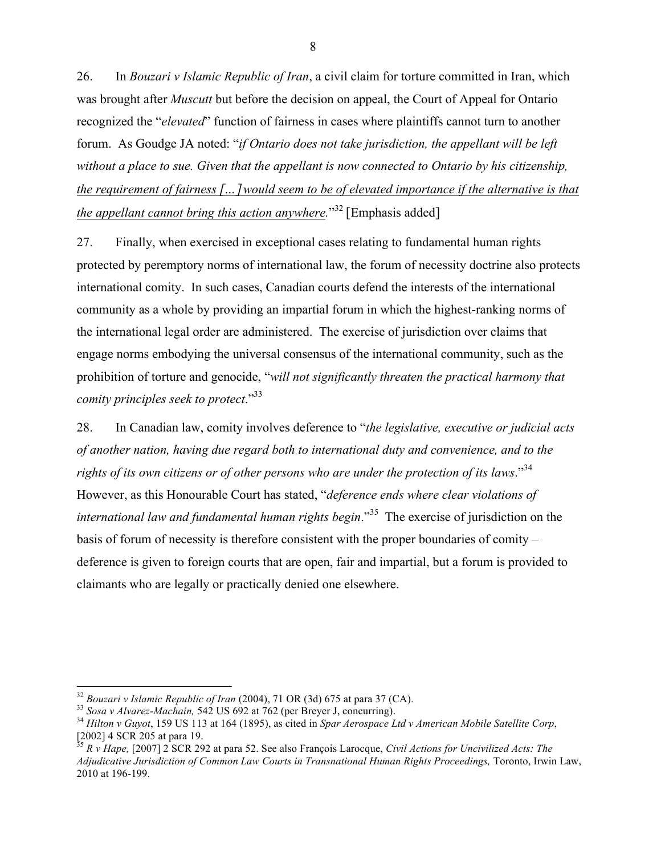26. In *Bouzari v Islamic Republic of Iran*, a civil claim for torture committed in Iran, which was brought after *Muscutt* but before the decision on appeal, the Court of Appeal for Ontario recognized the "*elevated*" function of fairness in cases where plaintiffs cannot turn to another forum. As Goudge JA noted: "*if Ontario does not take jurisdiction, the appellant will be left without a place to sue. Given that the appellant is now connected to Ontario by his citizenship, the requirement of fairness* [*…*] *would seem to be of elevated importance if the alternative is that the appellant cannot bring this action anywhere.*" <sup>32</sup> [Emphasis added]

27. Finally, when exercised in exceptional cases relating to fundamental human rights protected by peremptory norms of international law, the forum of necessity doctrine also protects international comity. In such cases, Canadian courts defend the interests of the international community as a whole by providing an impartial forum in which the highest-ranking norms of the international legal order are administered. The exercise of jurisdiction over claims that engage norms embodying the universal consensus of the international community, such as the prohibition of torture and genocide, "*will not significantly threaten the practical harmony that comity principles seek to protect*."33

28. In Canadian law, comity involves deference to "*the legislative, executive or judicial acts of another nation, having due regard both to international duty and convenience, and to the rights of its own citizens or of other persons who are under the protection of its laws*."34 However, as this Honourable Court has stated, "*deference ends where clear violations of international law and fundamental human rights begin.*<sup>35</sup> The exercise of jurisdiction on the basis of forum of necessity is therefore consistent with the proper boundaries of comity – deference is given to foreign courts that are open, fair and impartial, but a forum is provided to claimants who are legally or practically denied one elsewhere.

<sup>&</sup>lt;sup>32</sup> Bouzari v Islamic Republic of Iran (2004), 71 OR (3d) 675 at para 37 (CA).<br><sup>33</sup> Sosa v Alvarez-Machain, 542 US 692 at 762 (per Breyer J, concurring).<br><sup>34</sup> Hilton v Guyot, 159 US 113 at 164 (1895), as cited in Spar Ae [2002] 4 SCR 205 at para 19.

<sup>35</sup> *R v Hape,* [2007] 2 SCR 292 at para 52. See also François Larocque, *Civil Actions for Uncivilized Acts: The Adjudicative Jurisdiction of Common Law Courts in Transnational Human Rights Proceedings,* Toronto, Irwin Law, 2010 at 196-199.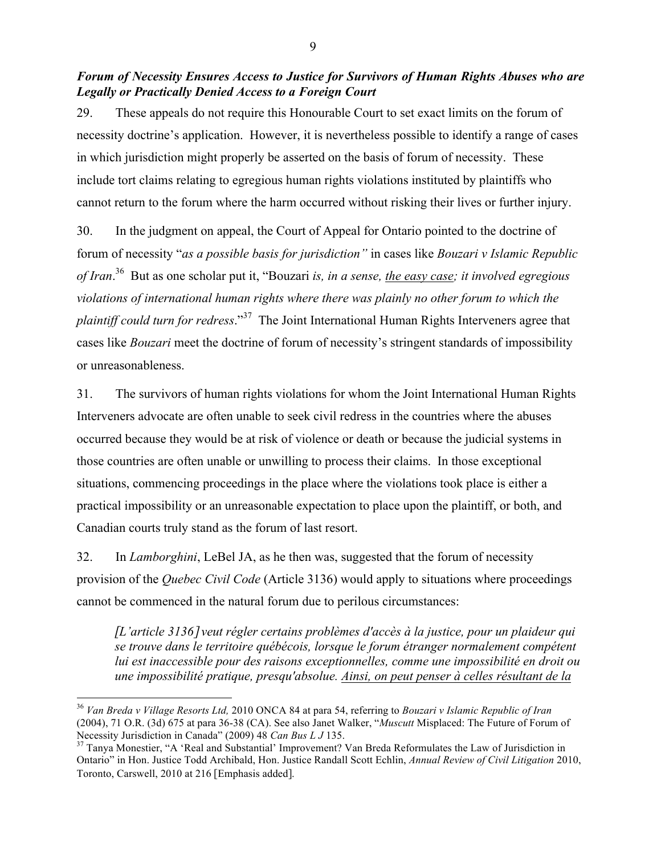*Forum of Necessity Ensures Access to Justice for Survivors of Human Rights Abuses who are Legally or Practically Denied Access to a Foreign Court* 

29. These appeals do not require this Honourable Court to set exact limits on the forum of necessity doctrine's application. However, it is nevertheless possible to identify a range of cases in which jurisdiction might properly be asserted on the basis of forum of necessity. These include tort claims relating to egregious human rights violations instituted by plaintiffs who cannot return to the forum where the harm occurred without risking their lives or further injury.

30. In the judgment on appeal, the Court of Appeal for Ontario pointed to the doctrine of forum of necessity "*as a possible basis for jurisdiction"* in cases like *Bouzari v Islamic Republic of Iran*. 36 But as one scholar put it, "Bouzari *is, in a sense, the easy case; it involved egregious violations of international human rights where there was plainly no other forum to which the plaintiff could turn for redress*."37 The Joint International Human Rights Interveners agree that cases like *Bouzari* meet the doctrine of forum of necessity's stringent standards of impossibility or unreasonableness.

31. The survivors of human rights violations for whom the Joint International Human Rights Interveners advocate are often unable to seek civil redress in the countries where the abuses occurred because they would be at risk of violence or death or because the judicial systems in those countries are often unable or unwilling to process their claims. In those exceptional situations, commencing proceedings in the place where the violations took place is either a practical impossibility or an unreasonable expectation to place upon the plaintiff, or both, and Canadian courts truly stand as the forum of last resort.

32. In *Lamborghini*, LeBel JA, as he then was, suggested that the forum of necessity provision of the *Quebec Civil Code* (Article 3136) would apply to situations where proceedings cannot be commenced in the natural forum due to perilous circumstances:

[*L'article 3136*] *veut régler certains problèmes d'accès à la justice, pour un plaideur qui se trouve dans le territoire québécois, lorsque le forum étranger normalement compétent lui est inaccessible pour des raisons exceptionnelles, comme une impossibilité en droit ou une impossibilité pratique, presqu'absolue. Ainsi, on peut penser à celles résultant de la* 

 <sup>36</sup> *Van Breda <sup>v</sup> Village Resorts Ltd,* 2010 ONCA 84 at para 54, referring to *Bouzari v Islamic Republic of Iran* (2004), 71 O.R. (3d) 675 at para 36-38 (CA). See also Janet Walker, "*Muscutt* Misplaced: The Future of Forum of

Necessity Jurisdiction in Canada" (2009) 48 *Can Bus L J* 135.<br><sup>37</sup> Tanya Monestier, "A 'Real and Substantial' Improvement? Van Breda Reformulates the Law of Jurisdiction in Ontario" in Hon. Justice Todd Archibald, Hon. Justice Randall Scott Echlin, *Annual Review of Civil Litigation* 2010, Toronto, Carswell, 2010 at 216 [Emphasis added].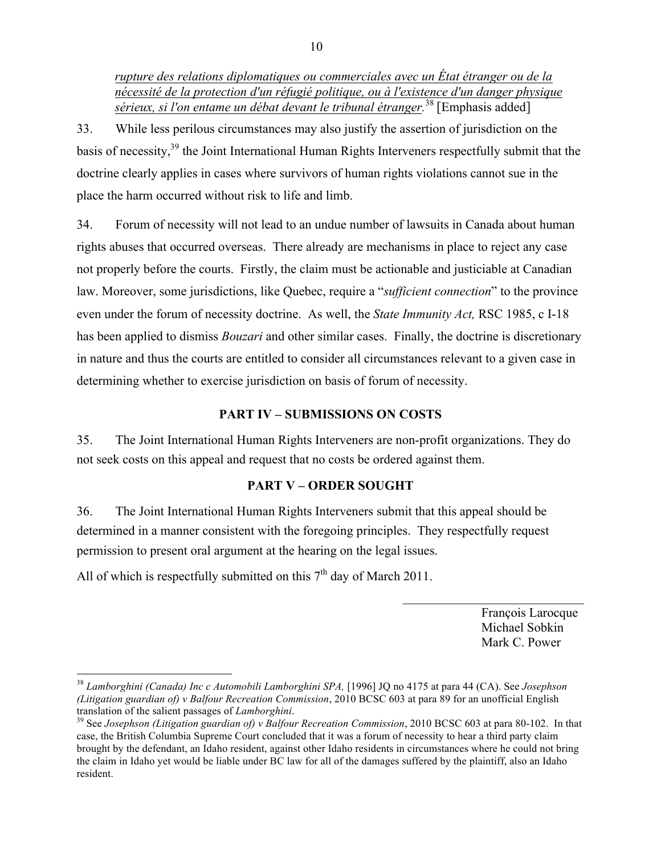*rupture des relations diplomatiques ou commerciales avec un État étranger ou de la nécessité de la protection d'un réfugié politique, ou à l'existence d'un danger physique sérieux, si l'on entame un débat devant le tribunal étranger.* <sup>38</sup> [Emphasis added]

33. While less perilous circumstances may also justify the assertion of jurisdiction on the basis of necessity,<sup>39</sup> the Joint International Human Rights Interveners respectfully submit that the doctrine clearly applies in cases where survivors of human rights violations cannot sue in the place the harm occurred without risk to life and limb.

34. Forum of necessity will not lead to an undue number of lawsuits in Canada about human rights abuses that occurred overseas. There already are mechanisms in place to reject any case not properly before the courts. Firstly, the claim must be actionable and justiciable at Canadian law. Moreover, some jurisdictions, like Quebec, require a "*sufficient connection*" to the province even under the forum of necessity doctrine. As well, the *State Immunity Act,* RSC 1985, c I-18 has been applied to dismiss *Bouzari* and other similar cases. Finally, the doctrine is discretionary in nature and thus the courts are entitled to consider all circumstances relevant to a given case in determining whether to exercise jurisdiction on basis of forum of necessity.

#### **PART IV – SUBMISSIONS ON COSTS**

35. The Joint International Human Rights Interveners are non-profit organizations. They do not seek costs on this appeal and request that no costs be ordered against them.

#### **PART V – ORDER SOUGHT**

36. The Joint International Human Rights Interveners submit that this appeal should be determined in a manner consistent with the foregoing principles. They respectfully request permission to present oral argument at the hearing on the legal issues.

All of which is respectfully submitted on this  $7<sup>th</sup>$  day of March 2011.

 François Larocque Michael Sobkin Mark C. Power

 $\mathcal{L}_\text{max}$ 

<sup>&</sup>lt;sup>38</sup> Lamborghini (Canada) Inc c Automobili Lamborghini SPA, [1996] JQ no 4175 at para 44 (CA). See *Josephson (Litigation guardian of) v Balfour Recreation Commission*, 2010 BCSC 603 at para 89 for an unofficial English translation of the salient passages of *Lamborghini*.<br><sup>39</sup> See *Josephson (Litigation guardian of) v Balfour Recreation Commission*, 2010 BCSC 603 at para 80-102. In that

case, the British Columbia Supreme Court concluded that it was a forum of necessity to hear a third party claim brought by the defendant, an Idaho resident, against other Idaho residents in circumstances where he could not bring the claim in Idaho yet would be liable under BC law for all of the damages suffered by the plaintiff, also an Idaho resident.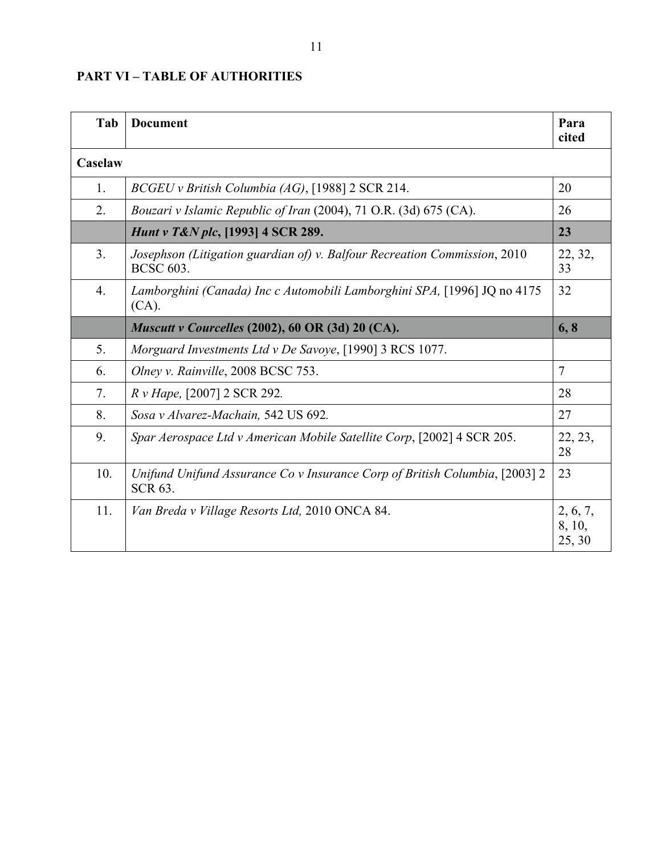# **PART VI – TABLE OF AUTHORITIES**

| Tab              | <b>Document</b>                                                                               | Para<br>cited                |
|------------------|-----------------------------------------------------------------------------------------------|------------------------------|
| Caselaw          |                                                                                               |                              |
| 1.               | BCGEU v British Columbia (AG), [1988] 2 SCR 214.                                              | 20                           |
| 2.               | Bouzari v Islamic Republic of Iran (2004), 71 O.R. (3d) 675 (CA).                             | 26                           |
|                  | Hunt v T&N plc, [1993] 4 SCR 289.                                                             | 23                           |
| 3.               | Josephson (Litigation guardian of) v. Balfour Recreation Commission, 2010<br><b>BCSC 603.</b> | 22, 32,<br>33                |
| $\overline{4}$ . | Lamborghini (Canada) Inc c Automobili Lamborghini SPA, [1996] JQ no 4175<br>$(CA)$ .          | 32                           |
|                  | Muscutt v Courcelles (2002), 60 OR (3d) 20 (CA).                                              | 6, 8                         |
| 5.               | Morguard Investments Ltd v De Savoye, [1990] 3 RCS 1077.                                      |                              |
| 6.               | Olney v. Rainville, 2008 BCSC 753.                                                            | $\overline{7}$               |
| 7.               | R v Hape, [2007] 2 SCR 292.                                                                   | 28                           |
| 8.               | Sosa v Alvarez-Machain, 542 US 692.                                                           | 27                           |
| 9.               | Spar Aerospace Ltd v American Mobile Satellite Corp, [2002] 4 SCR 205.                        | 22, 23,<br>28                |
| 10.              | Unifund Unifund Assurance Co v Insurance Corp of British Columbia, [2003] 2<br><b>SCR 63.</b> | 23                           |
| 11.              | Van Breda v Village Resorts Ltd, 2010 ONCA 84.                                                | 2, 6, 7,<br>8, 10,<br>25, 30 |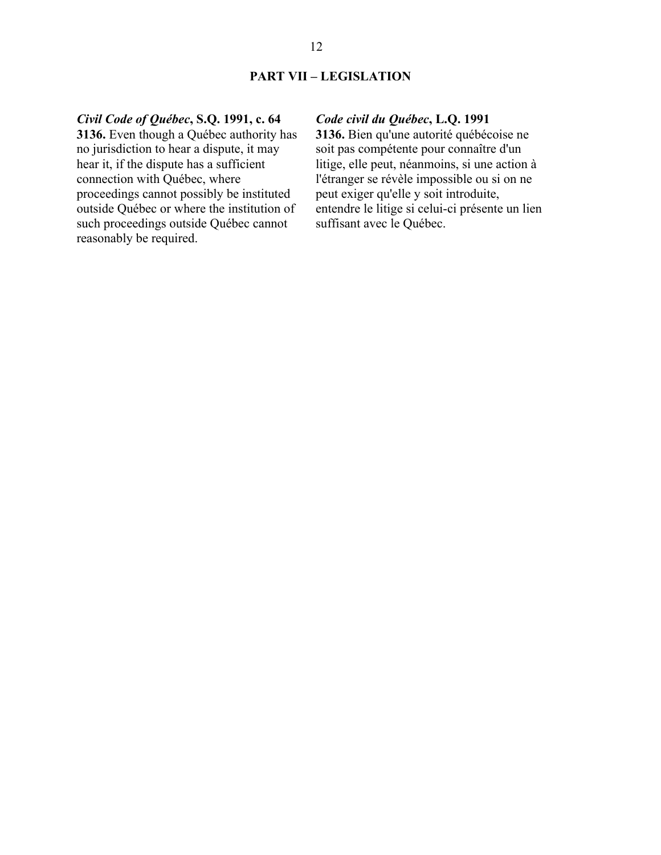#### **PART VII – LEGISLATION**

### *Civil Code of Québec***, S.Q. 1991, c. 64** *Code civil du Québec***, L.Q. 1991**

**3136.** Even though a Québec authority has no jurisdiction to hear a dispute, it may hear it, if the dispute has a sufficient connection with Québec, where proceedings cannot possibly be instituted outside Québec or where the institution of such proceedings outside Québec cannot reasonably be required.

**3136.** Bien qu'une autorité québécoise ne soit pas compétente pour connaître d'un litige, elle peut, néanmoins, si une action à l'étranger se révèle impossible ou si on ne peut exiger qu'elle y soit introduite, entendre le litige si celui-ci présente un lien suffisant avec le Québec.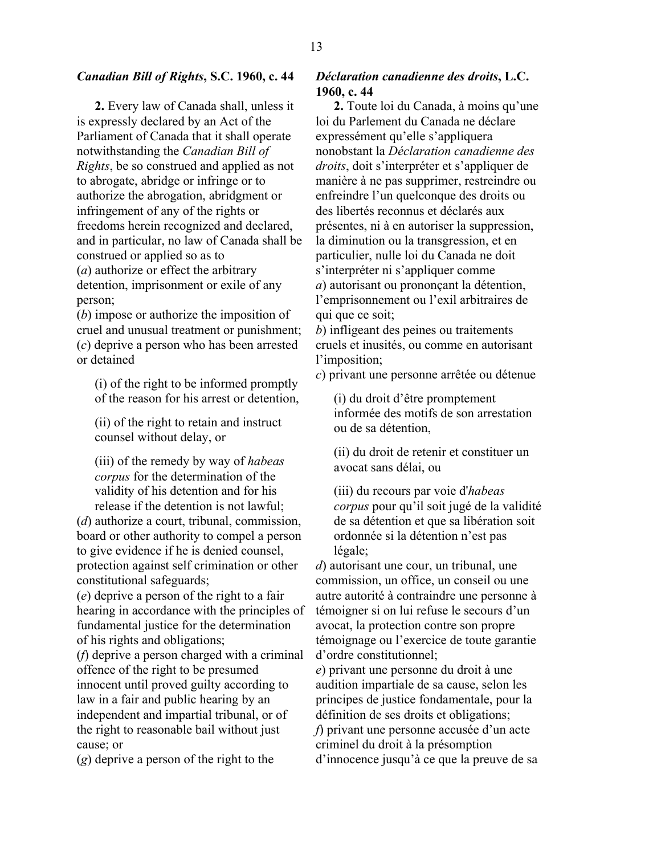#### *Canadian Bill of Rights***, S.C. 1960, c. 44** *Déclaration canadienne des droits***, L.C.**

**2.** Every law of Canada shall, unless it is expressly declared by an Act of the Parliament of Canada that it shall operate notwithstanding the *Canadian Bill of Rights*, be so construed and applied as not to abrogate, abridge or infringe or to authorize the abrogation, abridgment or infringement of any of the rights or freedoms herein recognized and declared, and in particular, no law of Canada shall be construed or applied so as to (*a*) authorize or effect the arbitrary detention, imprisonment or exile of any person;

(*b*) impose or authorize the imposition of cruel and unusual treatment or punishment; (*c*) deprive a person who has been arrested or detained

(i) of the right to be informed promptly of the reason for his arrest or detention,

(ii) of the right to retain and instruct counsel without delay, or

(iii) of the remedy by way of *habeas corpus* for the determination of the validity of his detention and for his release if the detention is not lawful;

(*d*) authorize a court, tribunal, commission, board or other authority to compel a person to give evidence if he is denied counsel, protection against self crimination or other constitutional safeguards;

(*e*) deprive a person of the right to a fair hearing in accordance with the principles of fundamental justice for the determination of his rights and obligations;

(*f*) deprive a person charged with a criminal offence of the right to be presumed innocent until proved guilty according to law in a fair and public hearing by an independent and impartial tribunal, or of the right to reasonable bail without just cause; or

(*g*) deprive a person of the right to the

# **1960, c. 44**

**2.** Toute loi du Canada, à moins qu'une loi du Parlement du Canada ne déclare expressément qu'elle s'appliquera nonobstant la *Déclaration canadienne des droits*, doit s'interpréter et s'appliquer de manière à ne pas supprimer, restreindre ou enfreindre l'un quelconque des droits ou des libertés reconnus et déclarés aux présentes, ni à en autoriser la suppression, la diminution ou la transgression, et en particulier, nulle loi du Canada ne doit s'interpréter ni s'appliquer comme *a*) autorisant ou prononçant la détention, l'emprisonnement ou l'exil arbitraires de qui que ce soit;

*b*) infligeant des peines ou traitements cruels et inusités, ou comme en autorisant l'imposition;

*c*) privant une personne arrêtée ou détenue

(i) du droit d'être promptement informée des motifs de son arrestation ou de sa détention,

(ii) du droit de retenir et constituer un avocat sans délai, ou

(iii) du recours par voie d'*habeas corpus* pour qu'il soit jugé de la validité de sa détention et que sa libération soit ordonnée si la détention n'est pas légale;

*d*) autorisant une cour, un tribunal, une commission, un office, un conseil ou une autre autorité à contraindre une personne à témoigner si on lui refuse le secours d'un avocat, la protection contre son propre témoignage ou l'exercice de toute garantie d'ordre constitutionnel;

*e*) privant une personne du droit à une audition impartiale de sa cause, selon les principes de justice fondamentale, pour la définition de ses droits et obligations; *f*) privant une personne accusée d'un acte criminel du droit à la présomption d'innocence jusqu'à ce que la preuve de sa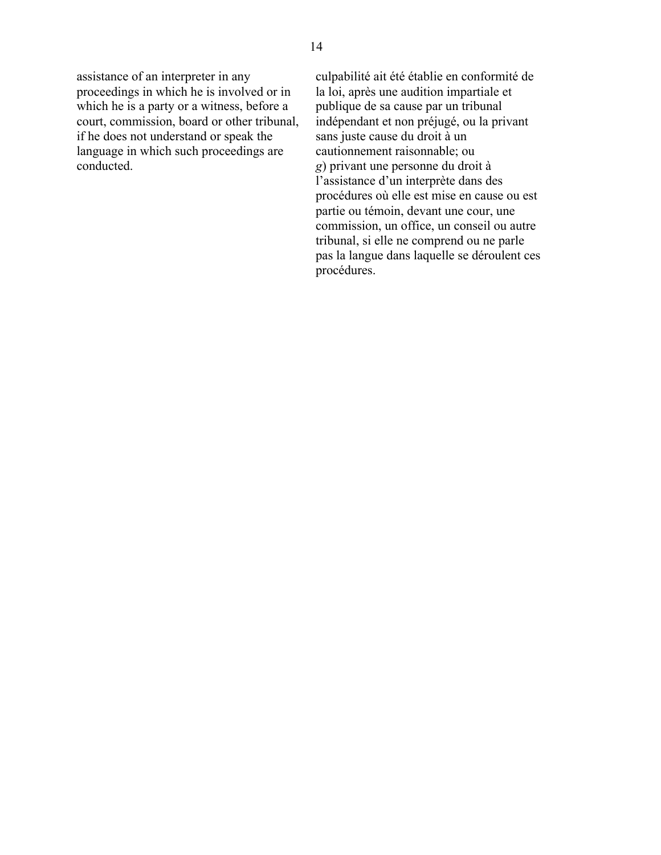assistance of an interpreter in any proceedings in which he is involved or in which he is a party or a witness, before a court, commission, board or other tribunal, if he does not understand or speak the language in which such proceedings are conducted.

culpabilité ait été établie en conformité de la loi, après une audition impartiale et publique de sa cause par un tribunal indépendant et non préjugé, ou la privant sans juste cause du droit à un cautionnement raisonnable; ou *g*) privant une personne du droit à l'assistance d'un interprète dans des procédures où elle est mise en cause ou est partie ou témoin, devant une cour, une commission, un office, un conseil ou autre tribunal, si elle ne comprend ou ne parle pas la langue dans laquelle se déroulent ces procédures.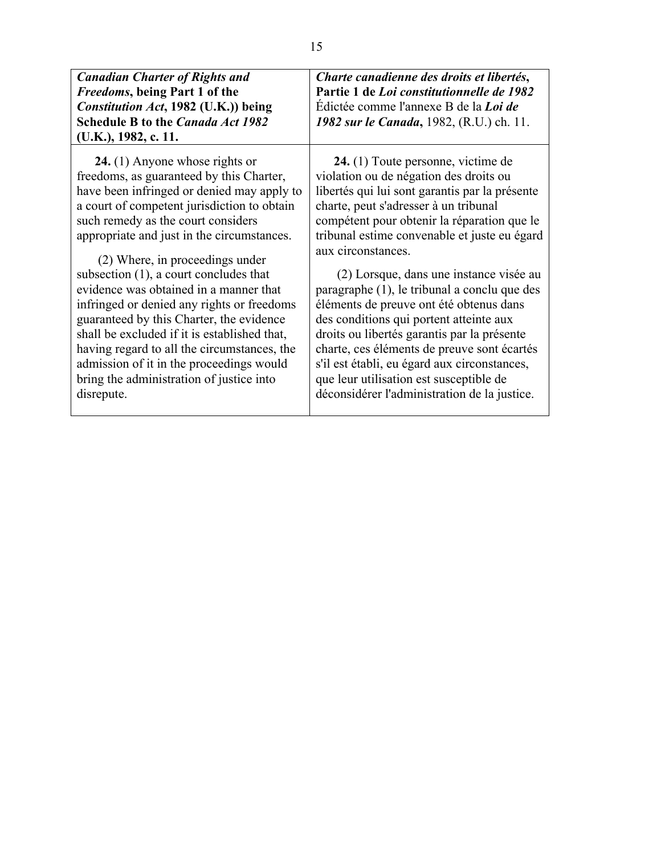| <b>Canadian Charter of Rights and</b>                                                                                                                                                                                                                                                                                                                                                                                                                                                                                                                                                                                                                                             | Charte canadienne des droits et libertés,                                                                                                                                                                                                                                                                                                                                                                                                                                                                                                                                                                                                                                                                              |  |
|-----------------------------------------------------------------------------------------------------------------------------------------------------------------------------------------------------------------------------------------------------------------------------------------------------------------------------------------------------------------------------------------------------------------------------------------------------------------------------------------------------------------------------------------------------------------------------------------------------------------------------------------------------------------------------------|------------------------------------------------------------------------------------------------------------------------------------------------------------------------------------------------------------------------------------------------------------------------------------------------------------------------------------------------------------------------------------------------------------------------------------------------------------------------------------------------------------------------------------------------------------------------------------------------------------------------------------------------------------------------------------------------------------------------|--|
| <b>Freedoms, being Part 1 of the</b>                                                                                                                                                                                                                                                                                                                                                                                                                                                                                                                                                                                                                                              | Partie 1 de Loi constitutionnelle de 1982                                                                                                                                                                                                                                                                                                                                                                                                                                                                                                                                                                                                                                                                              |  |
| <i>Constitution Act</i> , 1982 (U.K.)) being                                                                                                                                                                                                                                                                                                                                                                                                                                                                                                                                                                                                                                      | Edictée comme l'annexe B de la Loi de                                                                                                                                                                                                                                                                                                                                                                                                                                                                                                                                                                                                                                                                                  |  |
| <b>Schedule B to the Canada Act 1982</b>                                                                                                                                                                                                                                                                                                                                                                                                                                                                                                                                                                                                                                          | 1982 sur le Canada, 1982, (R.U.) ch. 11.                                                                                                                                                                                                                                                                                                                                                                                                                                                                                                                                                                                                                                                                               |  |
| (U.K.), 1982, c. 11.                                                                                                                                                                                                                                                                                                                                                                                                                                                                                                                                                                                                                                                              |                                                                                                                                                                                                                                                                                                                                                                                                                                                                                                                                                                                                                                                                                                                        |  |
| 24. (1) Anyone whose rights or<br>freedoms, as guaranteed by this Charter,<br>have been infringed or denied may apply to<br>a court of competent jurisdiction to obtain<br>such remedy as the court considers<br>appropriate and just in the circumstances.<br>(2) Where, in proceedings under<br>subsection (1), a court concludes that<br>evidence was obtained in a manner that<br>infringed or denied any rights or freedoms<br>guaranteed by this Charter, the evidence<br>shall be excluded if it is established that,<br>having regard to all the circumstances, the<br>admission of it in the proceedings would<br>bring the administration of justice into<br>disrepute. | 24. (1) Toute personne, victime de<br>violation ou de négation des droits ou<br>libertés qui lui sont garantis par la présente<br>charte, peut s'adresser à un tribunal<br>compétent pour obtenir la réparation que le<br>tribunal estime convenable et juste eu égard<br>aux circonstances.<br>(2) Lorsque, dans une instance visée au<br>paragraphe (1), le tribunal a conclu que des<br>éléments de preuve ont été obtenus dans<br>des conditions qui portent atteinte aux<br>droits ou libertés garantis par la présente<br>charte, ces éléments de preuve sont écartés<br>s'il est établi, eu égard aux circonstances,<br>que leur utilisation est susceptible de<br>déconsidérer l'administration de la justice. |  |